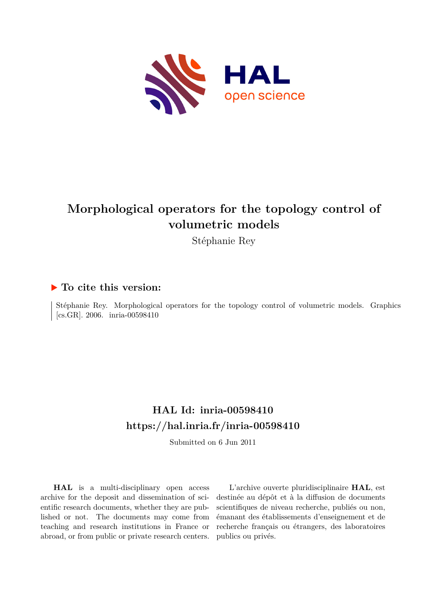

### **Morphological operators for the topology control of volumetric models**

Stéphanie Rey

#### **To cite this version:**

Stéphanie Rey. Morphological operators for the topology control of volumetric models. Graphics  $\vert$  [cs.GR]. 2006. inria-00598410

### **HAL Id: inria-00598410 <https://hal.inria.fr/inria-00598410>**

Submitted on 6 Jun 2011

**HAL** is a multi-disciplinary open access archive for the deposit and dissemination of scientific research documents, whether they are published or not. The documents may come from teaching and research institutions in France or abroad, or from public or private research centers.

L'archive ouverte pluridisciplinaire **HAL**, est destinée au dépôt et à la diffusion de documents scientifiques de niveau recherche, publiés ou non, émanant des établissements d'enseignement et de recherche français ou étrangers, des laboratoires publics ou privés.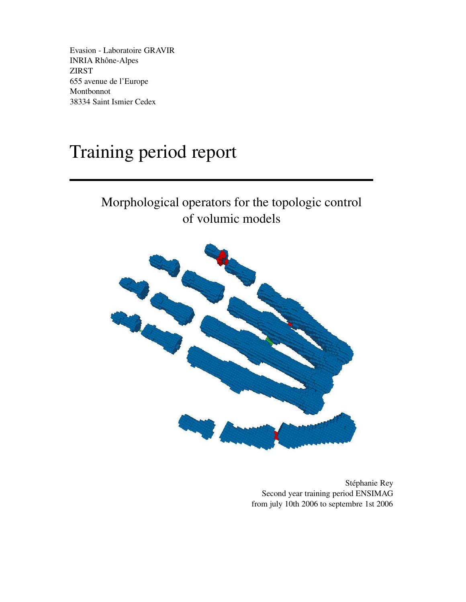Evasion - Laboratoire GRAVIR INRIA Rhône-Alpes ZIRST 655 avenue de l'Europe Montbonnot 38334 Saint Ismier Cedex

# Training period report

### Morphological operators for the topologic control of volumic models



Stéphanie Rey Second year training period ENSIMAG from july 10th 2006 to septembre 1st 2006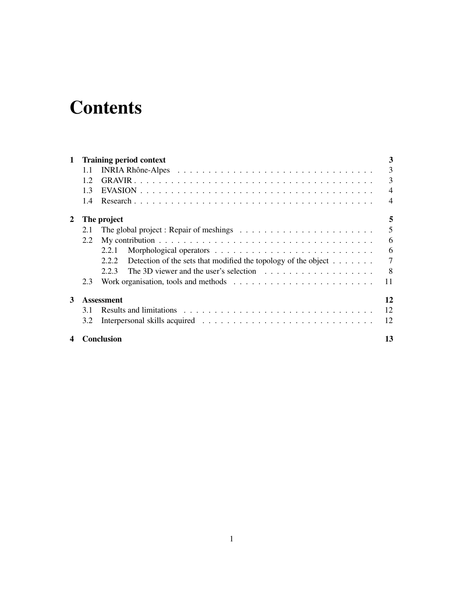# **Contents**

| $\mathbf 1$ |     | <b>Training period context</b>                                                              | 3                        |
|-------------|-----|---------------------------------------------------------------------------------------------|--------------------------|
|             | 1.1 |                                                                                             | 3                        |
|             | 12  |                                                                                             | 3                        |
|             | 1.3 |                                                                                             | $\overline{\mathcal{A}}$ |
|             | 1.4 |                                                                                             | 4                        |
| 2           |     | The project                                                                                 | 5                        |
|             | 2.1 | The global project : Repair of meshings $\dots \dots \dots \dots \dots \dots \dots \dots$   | 5                        |
|             | 2.2 |                                                                                             | 6                        |
|             |     | 2.2.1                                                                                       | 6                        |
|             |     | Detection of the sets that modified the topology of the object $\dots \dots$<br>2.2.2       | 7                        |
|             |     | The 3D viewer and the user's selection $\ldots \ldots \ldots \ldots \ldots \ldots$<br>2.2.3 | -8                       |
|             | 2.3 |                                                                                             | 11                       |
| 3           |     | <b>Assessment</b>                                                                           | 12                       |
|             | 3.1 |                                                                                             | 12                       |
|             | 3.2 |                                                                                             | 12                       |
|             |     | <b>Conclusion</b>                                                                           | 13                       |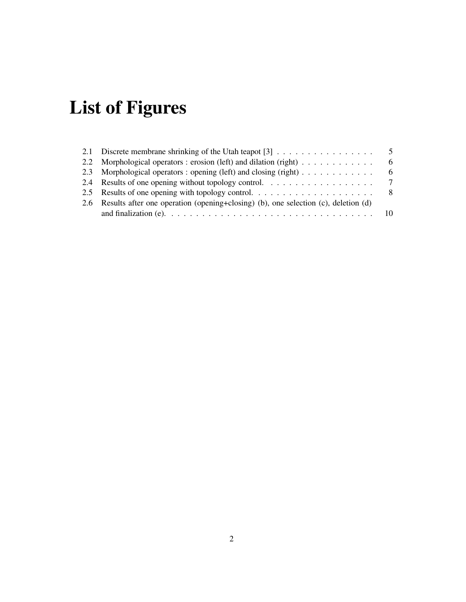# **List of Figures**

| 2.1 Discrete membrane shrinking of the Utah teapot $[3]$                               | $\overline{5}$ |
|----------------------------------------------------------------------------------------|----------------|
| 2.2 Morphological operators : erosion (left) and dilation (right) $\dots \dots \dots$  | -6             |
| 2.3 Morphological operators : opening (left) and closing (right)                       | - 6            |
|                                                                                        |                |
|                                                                                        |                |
| 2.6 Results after one operation (opening+closing) (b), one selection (c), deletion (d) |                |
|                                                                                        |                |
|                                                                                        |                |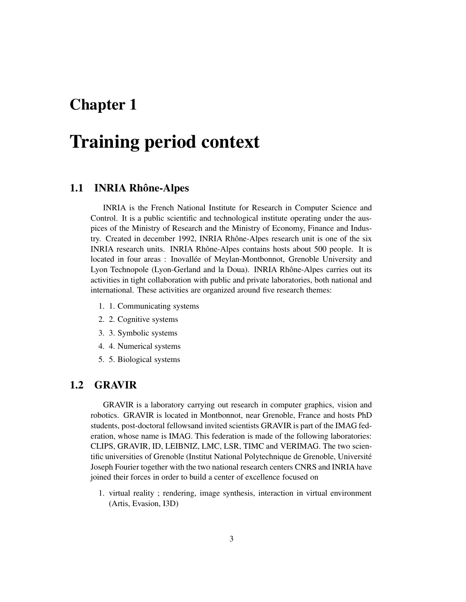## **Training period context**

#### **1.1 INRIA Rhône-Alpes**

INRIA is the French National Institute for Research in Computer Science and Control. It is a public scientific and technological institute operating under the auspices of the Ministry of Research and the Ministry of Economy, Finance and Industry. Created in december 1992, INRIA Rhône-Alpes research unit is one of the six INRIA research units. INRIA Rhône-Alpes contains hosts about 500 people. It is located in four areas : Inovallée of Meylan-Montbonnot, Grenoble University and Lyon Technopole (Lyon-Gerland and la Doua). INRIA Rhône-Alpes carries out its activities in tight collaboration with public and private laboratories, both national and international. These activities are organized around five research themes:

- 1. 1. Communicating systems
- 2. 2. Cognitive systems
- 3. 3. Symbolic systems
- 4. 4. Numerical systems
- 5. 5. Biological systems

#### **1.2 GRAVIR**

GRAVIR is a laboratory carrying out research in computer graphics, vision and robotics. GRAVIR is located in Montbonnot, near Grenoble, France and hosts PhD students, post-doctoral fellowsand invited scientists GRAVIR is part of the IMAG federation, whose name is IMAG. This federation is made of the following laboratories: CLIPS, GRAVIR, ID, LEIBNIZ, LMC, LSR, TIMC and VERIMAG. The two scientific universities of Grenoble (Institut National Polytechnique de Grenoble, Université Joseph Fourier together with the two national research centers CNRS and INRIA have joined their forces in order to build a center of excellence focused on

1. virtual reality ; rendering, image synthesis, interaction in virtual environment (Artis, Evasion, I3D)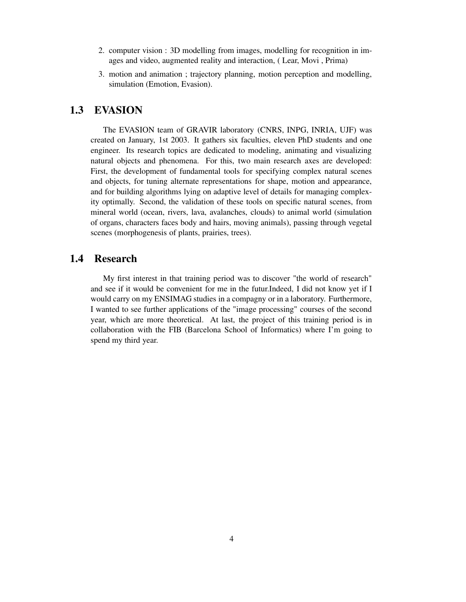- 2. computer vision : 3D modelling from images, modelling for recognition in images and video, augmented reality and interaction, ( Lear, Movi , Prima)
- 3. motion and animation ; trajectory planning, motion perception and modelling, simulation (Emotion, Evasion).

#### **1.3 EVASION**

The EVASION team of GRAVIR laboratory (CNRS, INPG, INRIA, UJF) was created on January, 1st 2003. It gathers six faculties, eleven PhD students and one engineer. Its research topics are dedicated to modeling, animating and visualizing natural objects and phenomena. For this, two main research axes are developed: First, the development of fundamental tools for specifying complex natural scenes and objects, for tuning alternate representations for shape, motion and appearance, and for building algorithms lying on adaptive level of details for managing complexity optimally. Second, the validation of these tools on specific natural scenes, from mineral world (ocean, rivers, lava, avalanches, clouds) to animal world (simulation of organs, characters faces body and hairs, moving animals), passing through vegetal scenes (morphogenesis of plants, prairies, trees).

#### **1.4 Research**

My first interest in that training period was to discover "the world of research" and see if it would be convenient for me in the futur.Indeed, I did not know yet if I would carry on my ENSIMAG studies in a compagny or in a laboratory. Furthermore, I wanted to see further applications of the "image processing" courses of the second year, which are more theoretical. At last, the project of this training period is in collaboration with the FIB (Barcelona School of Informatics) where I'm going to spend my third year.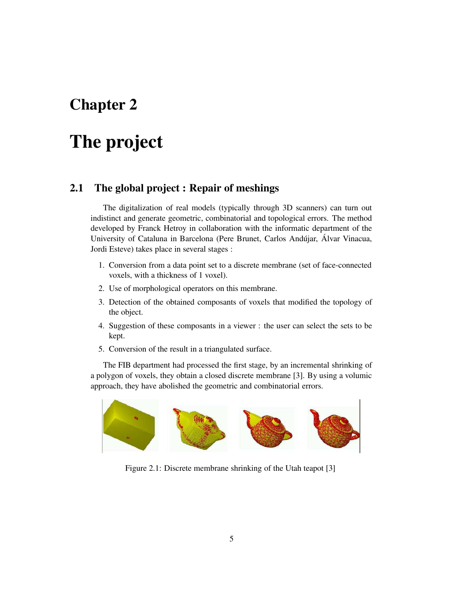# **The project**

#### **2.1 The global project : Repair of meshings**

The digitalization of real models (typically through 3D scanners) can turn out indistinct and generate geometric, combinatorial and topological errors. The method developed by Franck Hetroy in collaboration with the informatic department of the University of Cataluna in Barcelona (Pere Brunet, Carlos Andújar, Álvar Vinacua, Jordi Esteve) takes place in several stages :

- 1. Conversion from a data point set to a discrete membrane (set of face-connected voxels, with a thickness of 1 voxel).
- 2. Use of morphological operators on this membrane.
- 3. Detection of the obtained composants of voxels that modified the topology of the object.
- 4. Suggestion of these composants in a viewer : the user can select the sets to be kept.
- 5. Conversion of the result in a triangulated surface.

The FIB department had processed the first stage, by an incremental shrinking of a polygon of voxels, they obtain a closed discrete membrane [3]. By using a volumic approach, they have abolished the geometric and combinatorial errors.



Figure 2.1: Discrete membrane shrinking of the Utah teapot [3]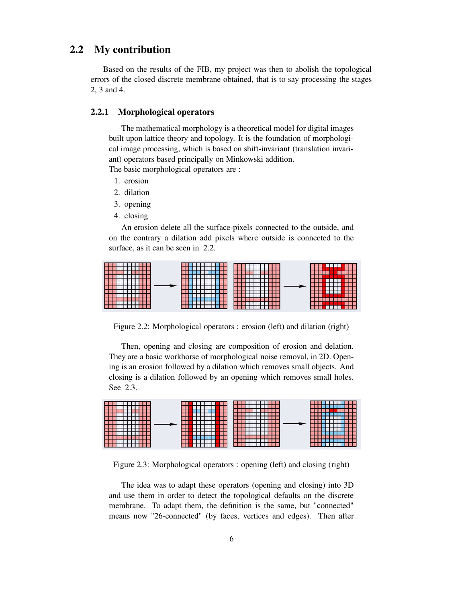#### **2.2 My contribution**

Based on the results of the FIB, my project was then to abolish the topological errors of the closed discrete membrane obtained, that is to say processing the stages 2, 3 and 4.

#### **2.2.1 Morphological operators**

The mathematical morphology is a theoretical model for digital images built upon lattice theory and topology. It is the foundation of morphological image processing, which is based on shift-invariant (translation invariant) operators based principally on Minkowski addition.

The basic morphological operators are :

- 1. erosion
- 2. dilation
- 3. opening
- 4. closing

An erosion delete all the surface-pixels connected to the outside, and on the contrary a dilation add pixels where outside is connected to the surface, as it can be seen in 2.2.



Figure 2.2: Morphological operators : erosion (left) and dilation (right)

Then, opening and closing are composition of erosion and delation. They are a basic workhorse of morphological noise removal, in 2D. Opening is an erosion followed by a dilation which removes small objects. And closing is a dilation followed by an opening which removes small holes. See 2.3.



Figure 2.3: Morphological operators : opening (left) and closing (right)

The idea was to adapt these operators (opening and closing) into 3D and use them in order to detect the topological defaults on the discrete membrane. To adapt them, the definition is the same, but "connected" means now "26-connected" (by faces, vertices and edges). Then after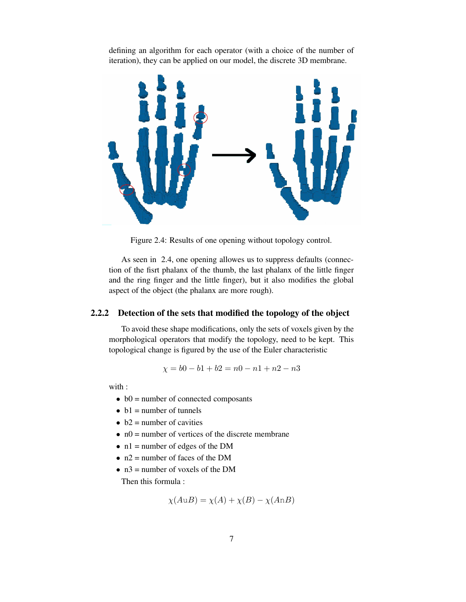defining an algorithm for each operator (with a choice of the number of iteration), they can be applied on our model, the discrete 3D membrane.



Figure 2.4: Results of one opening without topology control.

As seen in 2.4, one opening allowes us to suppress defaults (connection of the fisrt phalanx of the thumb, the last phalanx of the little finger and the ring finger and the little finger), but it also modifies the global aspect of the object (the phalanx are more rough).

#### **2.2.2 Detection of the sets that modified the topology of the object**

To avoid these shape modifications, only the sets of voxels given by the morphological operators that modify the topology, need to be kept. This topological change is figured by the use of the Euler characteristic

$$
\chi = b0 - b1 + b2 = n0 - n1 + n2 - n3
$$

with :

- $\bullet$  b0 = number of connected composants
- $\bullet$  b1 = number of tunnels
- $\bullet$  b2 = number of cavities
- $\bullet$  n0 = number of vertices of the discrete membrane
- $\bullet$  n1 = number of edges of the DM
- $n2$  = number of faces of the DM
- $n3$  = number of voxels of the DM Then this formula :

$$
\chi(A \cup B) = \chi(A) + \chi(B) - \chi(AnB)
$$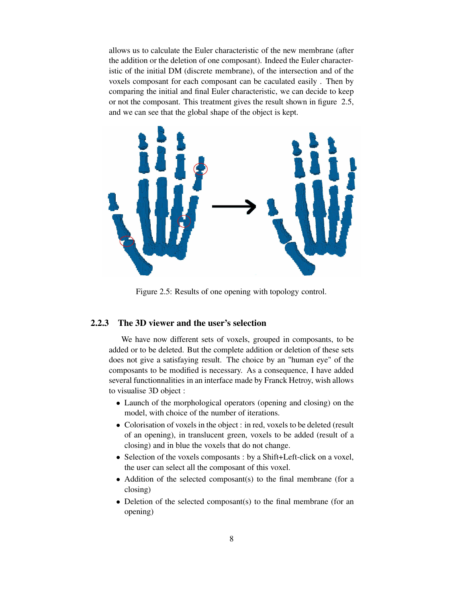allows us to calculate the Euler characteristic of the new membrane (after the addition or the deletion of one composant). Indeed the Euler characteristic of the initial DM (discrete membrane), of the intersection and of the voxels composant for each composant can be caculated easily . Then by comparing the initial and final Euler characteristic, we can decide to keep or not the composant. This treatment gives the result shown in figure 2.5, and we can see that the global shape of the object is kept.



Figure 2.5: Results of one opening with topology control.

#### **2.2.3 The 3D viewer and the user's selection**

We have now different sets of voxels, grouped in composants, to be added or to be deleted. But the complete addition or deletion of these sets does not give a satisfaying result. The choice by an "human eye" of the composants to be modified is necessary. As a consequence, I have added several functionnalities in an interface made by Franck Hetroy, wish allows to visualise 3D object :

- Launch of the morphological operators (opening and closing) on the model, with choice of the number of iterations.
- Colorisation of voxels in the object : in red, voxels to be deleted (result of an opening), in translucent green, voxels to be added (result of a closing) and in blue the voxels that do not change.
- Selection of the voxels composants : by a Shift+Left-click on a voxel, the user can select all the composant of this voxel.
- Addition of the selected composant(s) to the final membrane (for a closing)
- Deletion of the selected composant(s) to the final membrane (for an opening)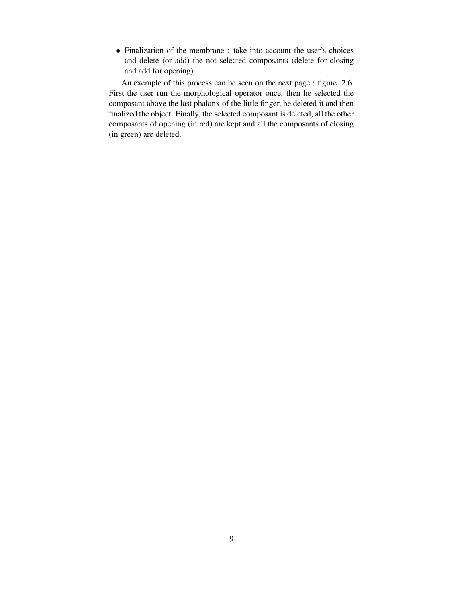• Finalization of the membrane : take into account the user's choices and delete (or add) the not selected composants (delete for closing and add for opening).

An exemple of this process can be seen on the next page : figure 2.6. First the user run the morphological operator once, then he selected the composant above the last phalanx of the little finger, he deleted it and then finalized the object. Finally, the selected composant is deleted, all the other composants of opening (in red) are kept and all the composants of closing (in green) are deleted.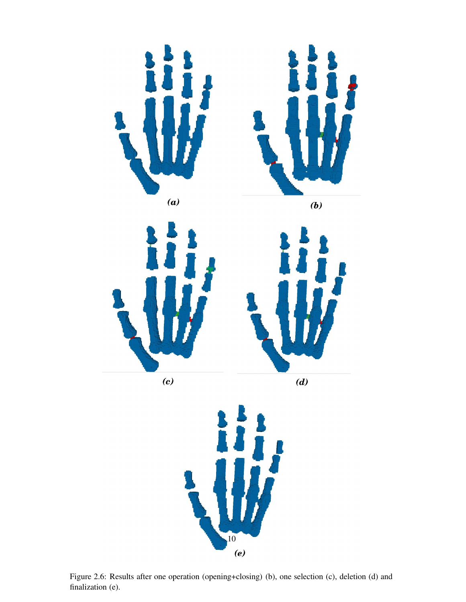

Figure 2.6: Results after one operation (opening+closing) (b), one selection (c), deletion (d) and finalization (e).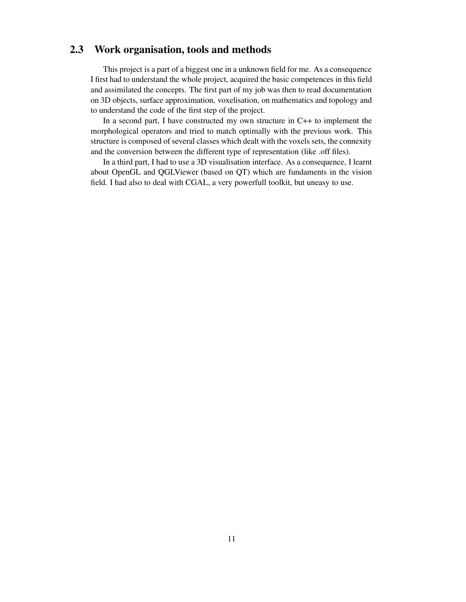#### **2.3 Work organisation, tools and methods**

This project is a part of a biggest one in a unknown field for me. As a consequence I first had to understand the whole project, acquired the basic competences in this field and assimilated the concepts. The first part of my job was then to read documentation on 3D objects, surface approximation, voxelisation, on mathematics and topology and to understand the code of the first step of the project.

In a second part, I have constructed my own structure in C++ to implement the morphological operators and tried to match optimally with the previous work. This structure is composed of several classes which dealt with the voxels sets, the connexity and the conversion between the different type of representation (like .off files).

In a third part, I had to use a 3D visualisation interface. As a consequence, I learnt about OpenGL and QGLViewer (based on QT) which are fundaments in the vision field. I had also to deal with CGAL, a very powerfull toolkit, but uneasy to use.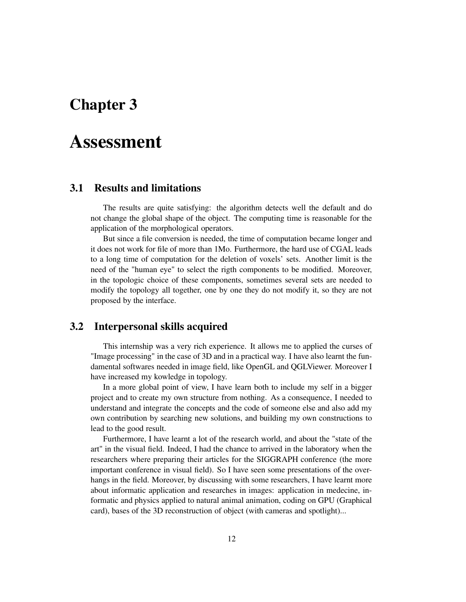### **Assessment**

#### **3.1 Results and limitations**

The results are quite satisfying: the algorithm detects well the default and do not change the global shape of the object. The computing time is reasonable for the application of the morphological operators.

But since a file conversion is needed, the time of computation became longer and it does not work for file of more than 1Mo. Furthermore, the hard use of CGAL leads to a long time of computation for the deletion of voxels' sets. Another limit is the need of the "human eye" to select the rigth components to be modified. Moreover, in the topologic choice of these components, sometimes several sets are needed to modify the topology all together, one by one they do not modify it, so they are not proposed by the interface.

#### **3.2 Interpersonal skills acquired**

This internship was a very rich experience. It allows me to applied the curses of "Image processing" in the case of 3D and in a practical way. I have also learnt the fundamental softwares needed in image field, like OpenGL and QGLViewer. Moreover I have increased my kowledge in topology.

In a more global point of view, I have learn both to include my self in a bigger project and to create my own structure from nothing. As a consequence, I needed to understand and integrate the concepts and the code of someone else and also add my own contribution by searching new solutions, and building my own constructions to lead to the good result.

Furthermore, I have learnt a lot of the research world, and about the "state of the art" in the visual field. Indeed, I had the chance to arrived in the laboratory when the researchers where preparing their articles for the SIGGRAPH conference (the more important conference in visual field). So I have seen some presentations of the overhangs in the field. Moreover, by discussing with some researchers, I have learnt more about informatic application and researches in images: application in medecine, informatic and physics applied to natural animal animation, coding on GPU (Graphical card), bases of the 3D reconstruction of object (with cameras and spotlight)...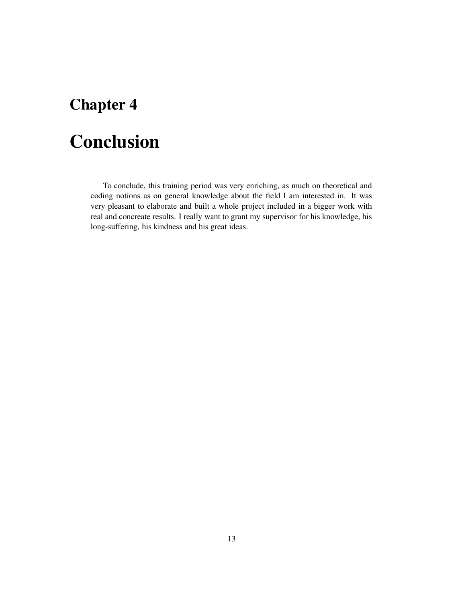# **Conclusion**

To conclude, this training period was very enriching, as much on theoretical and coding notions as on general knowledge about the field I am interested in. It was very pleasant to elaborate and built a whole project included in a bigger work with real and concreate results. I really want to grant my supervisor for his knowledge, his long-suffering, his kindness and his great ideas.